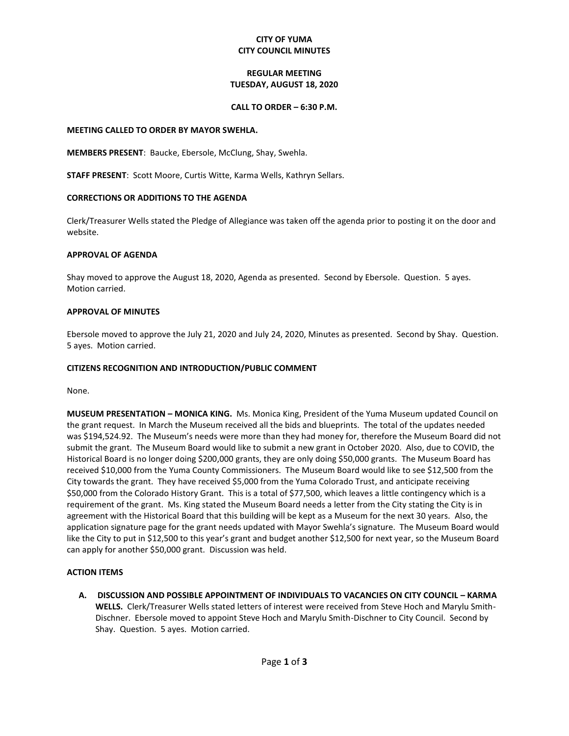### **CITY OF YUMA CITY COUNCIL MINUTES**

### **REGULAR MEETING TUESDAY, AUGUST 18, 2020**

#### **CALL TO ORDER – 6:30 P.M.**

#### **MEETING CALLED TO ORDER BY MAYOR SWEHLA.**

**MEMBERS PRESENT**: Baucke, Ebersole, McClung, Shay, Swehla.

**STAFF PRESENT**: Scott Moore, Curtis Witte, Karma Wells, Kathryn Sellars.

### **CORRECTIONS OR ADDITIONS TO THE AGENDA**

Clerk/Treasurer Wells stated the Pledge of Allegiance was taken off the agenda prior to posting it on the door and website.

### **APPROVAL OF AGENDA**

Shay moved to approve the August 18, 2020, Agenda as presented. Second by Ebersole. Question. 5 ayes. Motion carried.

### **APPROVAL OF MINUTES**

Ebersole moved to approve the July 21, 2020 and July 24, 2020, Minutes as presented. Second by Shay. Question. 5 ayes. Motion carried.

## **CITIZENS RECOGNITION AND INTRODUCTION/PUBLIC COMMENT**

None.

**MUSEUM PRESENTATION – MONICA KING.** Ms. Monica King, President of the Yuma Museum updated Council on the grant request. In March the Museum received all the bids and blueprints. The total of the updates needed was \$194,524.92. The Museum's needs were more than they had money for, therefore the Museum Board did not submit the grant. The Museum Board would like to submit a new grant in October 2020. Also, due to COVID, the Historical Board is no longer doing \$200,000 grants, they are only doing \$50,000 grants. The Museum Board has received \$10,000 from the Yuma County Commissioners. The Museum Board would like to see \$12,500 from the City towards the grant. They have received \$5,000 from the Yuma Colorado Trust, and anticipate receiving \$50,000 from the Colorado History Grant. This is a total of \$77,500, which leaves a little contingency which is a requirement of the grant. Ms. King stated the Museum Board needs a letter from the City stating the City is in agreement with the Historical Board that this building will be kept as a Museum for the next 30 years. Also, the application signature page for the grant needs updated with Mayor Swehla's signature. The Museum Board would like the City to put in \$12,500 to this year's grant and budget another \$12,500 for next year, so the Museum Board can apply for another \$50,000 grant. Discussion was held.

## **ACTION ITEMS**

**A. DISCUSSION AND POSSIBLE APPOINTMENT OF INDIVIDUALS TO VACANCIES ON CITY COUNCIL – KARMA WELLS.** Clerk/Treasurer Wells stated letters of interest were received from Steve Hoch and Marylu Smith-Dischner. Ebersole moved to appoint Steve Hoch and Marylu Smith-Dischner to City Council. Second by Shay. Question. 5 ayes. Motion carried.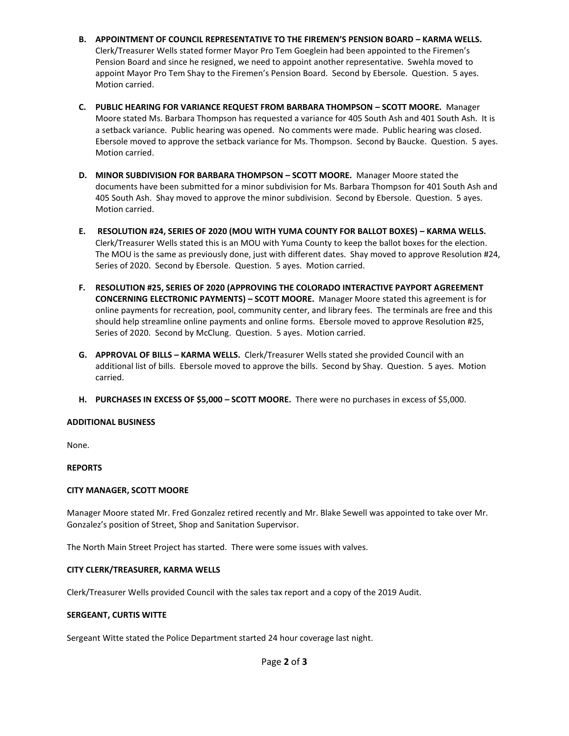- **B. APPOINTMENT OF COUNCIL REPRESENTATIVE TO THE FIREMEN'S PENSION BOARD – KARMA WELLS.**  Clerk/Treasurer Wells stated former Mayor Pro Tem Goeglein had been appointed to the Firemen's Pension Board and since he resigned, we need to appoint another representative. Swehla moved to appoint Mayor Pro Tem Shay to the Firemen's Pension Board. Second by Ebersole. Question. 5 ayes. Motion carried.
- **C. PUBLIC HEARING FOR VARIANCE REQUEST FROM BARBARA THOMPSON – SCOTT MOORE.** Manager Moore stated Ms. Barbara Thompson has requested a variance for 405 South Ash and 401 South Ash. It is a setback variance. Public hearing was opened. No comments were made. Public hearing was closed. Ebersole moved to approve the setback variance for Ms. Thompson. Second by Baucke. Question. 5 ayes. Motion carried.
- **D. MINOR SUBDIVISION FOR BARBARA THOMPSON – SCOTT MOORE.** Manager Moore stated the documents have been submitted for a minor subdivision for Ms. Barbara Thompson for 401 South Ash and 405 South Ash. Shay moved to approve the minor subdivision. Second by Ebersole. Question. 5 ayes. Motion carried.
- **E. RESOLUTION #24, SERIES OF 2020 (MOU WITH YUMA COUNTY FOR BALLOT BOXES) – KARMA WELLS.**  Clerk/Treasurer Wells stated this is an MOU with Yuma County to keep the ballot boxes for the election. The MOU is the same as previously done, just with different dates. Shay moved to approve Resolution #24, Series of 2020. Second by Ebersole. Question. 5 ayes. Motion carried.
- **F. RESOLUTION #25, SERIES OF 2020 (APPROVING THE COLORADO INTERACTIVE PAYPORT AGREEMENT CONCERNING ELECTRONIC PAYMENTS) – SCOTT MOORE.** Manager Moore stated this agreement is for online payments for recreation, pool, community center, and library fees. The terminals are free and this should help streamline online payments and online forms. Ebersole moved to approve Resolution #25, Series of 2020. Second by McClung. Question. 5 ayes. Motion carried.
- **G. APPROVAL OF BILLS – KARMA WELLS.** Clerk/Treasurer Wells stated she provided Council with an additional list of bills. Ebersole moved to approve the bills. Second by Shay. Question. 5 ayes. Motion carried.
- **H. PURCHASES IN EXCESS OF \$5,000 – SCOTT MOORE.** There were no purchases in excess of \$5,000.

### **ADDITIONAL BUSINESS**

None.

### **REPORTS**

### **CITY MANAGER, SCOTT MOORE**

Manager Moore stated Mr. Fred Gonzalez retired recently and Mr. Blake Sewell was appointed to take over Mr. Gonzalez's position of Street, Shop and Sanitation Supervisor.

The North Main Street Project has started. There were some issues with valves.

### **CITY CLERK/TREASURER, KARMA WELLS**

Clerk/Treasurer Wells provided Council with the sales tax report and a copy of the 2019 Audit.

### **SERGEANT, CURTIS WITTE**

Sergeant Witte stated the Police Department started 24 hour coverage last night.